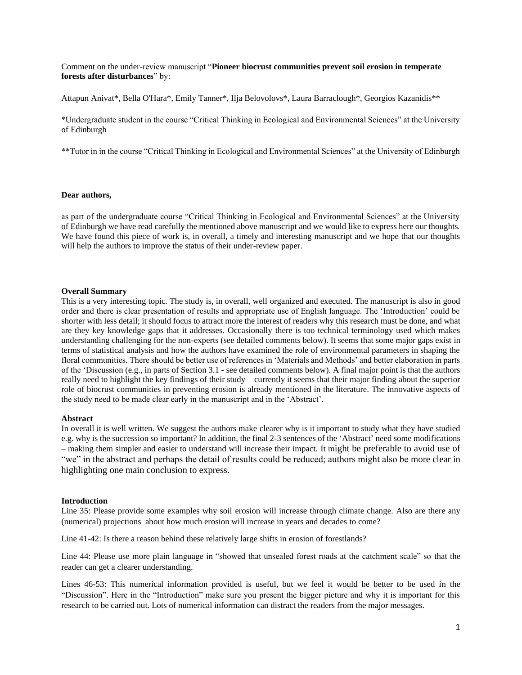Comment on the under-review manuscript "**Pioneer biocrust communities prevent soil erosion in temperate forests after disturbances**" by:

Attapun Anivat\*, Bella O'Hara\*, Emily Tanner\*, Ilja Belovolovs\*, Laura Barraclough\*, Georgios Kazanidis\*\*

\*Undergraduate student in the course "Critical Thinking in Ecological and Environmental Sciences" at the University of Edinburgh

\*\*Tutor in in the course "Critical Thinking in Ecological and Environmental Sciences" at the University of Edinburgh

## **Dear authors,**

as part of the undergraduate course "Critical Thinking in Ecological and Environmental Sciences" at the University of Edinburgh we have read carefully the mentioned above manuscript and we would like to express here our thoughts. We have found this piece of work is, in overall, a timely and interesting manuscript and we hope that our thoughts will help the authors to improve the status of their under-review paper.

### **Overall Summary**

This is a very interesting topic. The study is, in overall, well organized and executed. The manuscript is also in good order and there is clear presentation of results and appropriate use of English language. The 'Introduction' could be shorter with less detail; it should focus to attract more the interest of readers why this research must be done, and what are they key knowledge gaps that it addresses. Occasionally there is too technical terminology used which makes understanding challenging for the non-experts (see detailed comments below). It seems that some major gaps exist in terms of statistical analysis and how the authors have examined the role of environmental parameters in shaping the floral communities. There should be better use of references in 'Materials and Methods' and better elaboration in parts of the 'Discussion (e.g., in parts of Section 3.1 - see detailed comments below). A final major point is that the authors really need to highlight the key findings of their study – currently it seems that their major finding about the superior role of biocrust communities in preventing erosion is already mentioned in the literature. The innovative aspects of the study need to be made clear early in the manuscript and in the 'Abstract'.

# **Abstract**

In overall it is well written. We suggest the authors make clearer why is it important to study what they have studied e.g. why is the succession so important? In addition, the final 2-3 sentences of the 'Abstract' need some modifications – making them simpler and easier to understand will increase their impact. It might be preferable to avoid use of "we" in the abstract and perhaps the detail of results could be reduced; authors might also be more clear in highlighting one main conclusion to express.

#### **Introduction**

Line 35: Please provide some examples why soil erosion will increase through climate change. Also are there any (numerical) projections about how much erosion will increase in years and decades to come?

Line 41-42: Is there a reason behind these relatively large shifts in erosion of forestlands?

Line 44: Please use more plain language in "showed that unsealed forest roads at the catchment scale" so that the reader can get a clearer understanding.

Lines 46-53: This numerical information provided is useful, but we feel it would be better to be used in the "Discussion". Here in the "Introduction" make sure you present the bigger picture and why it is important for this research to be carried out. Lots of numerical information can distract the readers from the major messages.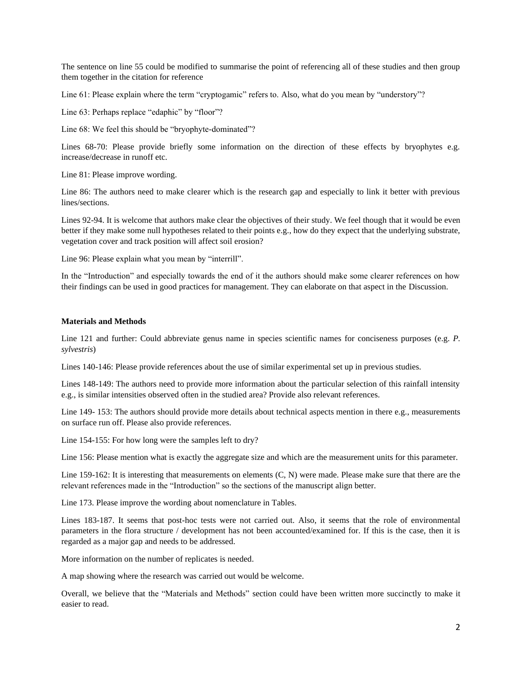The sentence on line 55 could be modified to summarise the point of referencing all of these studies and then group them together in the citation for reference

Line 61: Please explain where the term "cryptogamic" refers to. Also, what do you mean by "understory"?

Line 63: Perhaps replace "edaphic" by "floor"?

Line 68: We feel this should be "bryophyte-dominated"?

Lines 68-70: Please provide briefly some information on the direction of these effects by bryophytes e.g. increase/decrease in runoff etc.

Line 81: Please improve wording.

Line 86: The authors need to make clearer which is the research gap and especially to link it better with previous lines/sections.

Lines 92-94. It is welcome that authors make clear the objectives of their study. We feel though that it would be even better if they make some null hypotheses related to their points e.g., how do they expect that the underlying substrate, vegetation cover and track position will affect soil erosion?

Line 96: Please explain what you mean by "interrill".

In the "Introduction" and especially towards the end of it the authors should make some clearer references on how their findings can be used in good practices for management. They can elaborate on that aspect in the Discussion.

### **Materials and Methods**

Line 121 and further: Could abbreviate genus name in species scientific names for conciseness purposes (e.g. *P. sylvestris*)

Lines 140-146: Please provide references about the use of similar experimental set up in previous studies.

Lines 148-149: The authors need to provide more information about the particular selection of this rainfall intensity e.g., is similar intensities observed often in the studied area? Provide also relevant references.

Line 149- 153: The authors should provide more details about technical aspects mention in there e.g., measurements on surface run off. Please also provide references.

Line 154-155: For how long were the samples left to dry?

Line 156: Please mention what is exactly the aggregate size and which are the measurement units for this parameter.

Line 159-162: It is interesting that measurements on elements (C, N) were made. Please make sure that there are the relevant references made in the "Introduction" so the sections of the manuscript align better.

Line 173. Please improve the wording about nomenclature in Tables.

Lines 183-187. It seems that post-hoc tests were not carried out. Also, it seems that the role of environmental parameters in the flora structure / development has not been accounted/examined for. If this is the case, then it is regarded as a major gap and needs to be addressed.

More information on the number of replicates is needed.

A map showing where the research was carried out would be welcome.

Overall, we believe that the "Materials and Methods" section could have been written more succinctly to make it easier to read.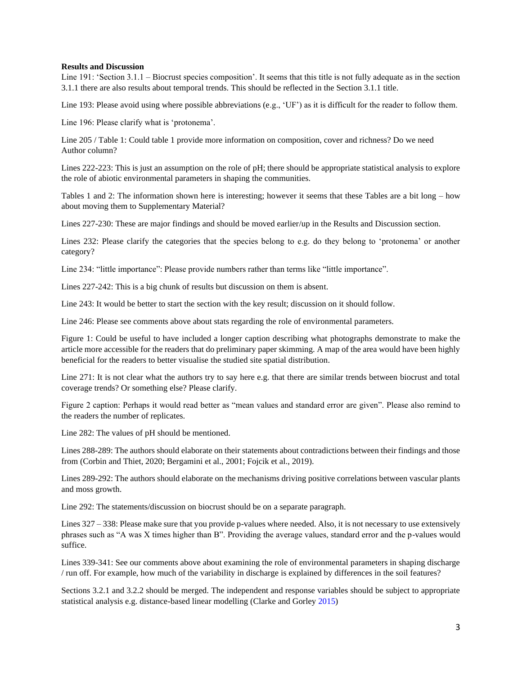# **Results and Discussion**

Line 191: 'Section 3.1.1 – Biocrust species composition'. It seems that this title is not fully adequate as in the section 3.1.1 there are also results about temporal trends. This should be reflected in the Section 3.1.1 title.

Line 193: Please avoid using where possible abbreviations (e.g., 'UF') as it is difficult for the reader to follow them.

Line 196: Please clarify what is 'protonema'.

Line 205 / Table 1: Could table 1 provide more information on composition, cover and richness? Do we need Author column?

Lines 222-223: This is just an assumption on the role of pH; there should be appropriate statistical analysis to explore the role of abiotic environmental parameters in shaping the communities.

Tables 1 and 2: The information shown here is interesting; however it seems that these Tables are a bit long – how about moving them to Supplementary Material?

Lines 227-230: These are major findings and should be moved earlier/up in the Results and Discussion section.

Lines 232: Please clarify the categories that the species belong to e.g. do they belong to 'protonema' or another category?

Line 234: "little importance": Please provide numbers rather than terms like "little importance".

Lines 227-242: This is a big chunk of results but discussion on them is absent.

Line 243: It would be better to start the section with the key result; discussion on it should follow.

Line 246: Please see comments above about stats regarding the role of environmental parameters.

Figure 1: Could be useful to have included a longer caption describing what photographs demonstrate to make the article more accessible for the readers that do preliminary paper skimming. A map of the area would have been highly beneficial for the readers to better visualise the studied site spatial distribution.

Line 271: It is not clear what the authors try to say here e.g. that there are similar trends between biocrust and total coverage trends? Or something else? Please clarify.

Figure 2 caption: Perhaps it would read better as "mean values and standard error are given". Please also remind to the readers the number of replicates.

Line 282: The values of pH should be mentioned.

Lines 288-289: The authors should elaborate on their statements about contradictions between their findings and those from (Corbin and Thiet, 2020; Bergamini et al., 2001; Fojcik et al., 2019).

Lines 289-292: The authors should elaborate on the mechanisms driving positive correlations between vascular plants and moss growth.

Line 292: The statements/discussion on biocrust should be on a separate paragraph.

Lines 327 – 338: Please make sure that you provide p-values where needed. Also, it is not necessary to use extensively phrases such as "A was X times higher than B". Providing the average values, standard error and the p-values would suffice.

Lines 339-341: See our comments above about examining the role of environmental parameters in shaping discharge / run off. For example, how much of the variability in discharge is explained by differences in the soil features?

Sections 3.2.1 and 3.2.2 should be merged. The independent and response variables should be subject to appropriate statistical analysis e.g. distance-based linear modelling (Clarke and Gorley 2015)